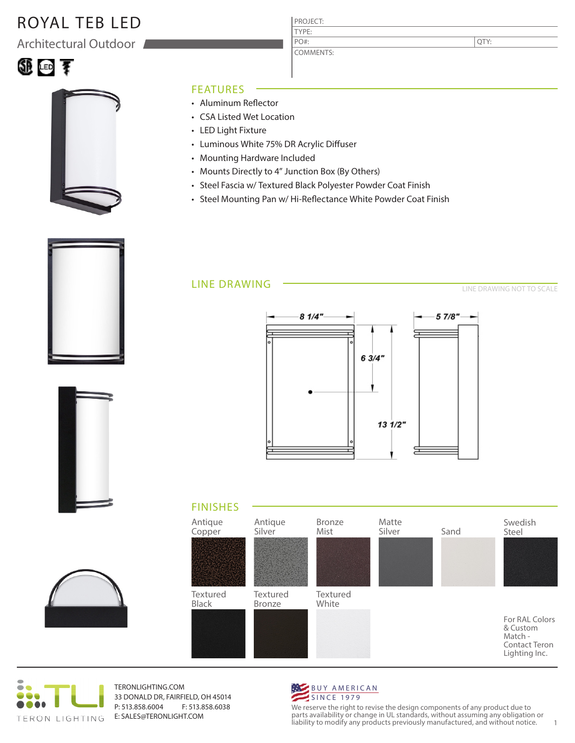# ROYAL TEB LED

Architectural Outdoor



### FEATURES

- Aluminum Reflector
- CSA Listed Wet Location
- LED Light Fixture
- Luminous White 75% DR Acrylic Diffuser
- Mounting Hardware Included
- Mounts Directly to 4" Junction Box (By Others)
- Steel Fascia w/ Textured Black Polyester Powder Coat Finish

PROJECT: TYPE:

PO#:

COMMENTS:

• Steel Mounting Pan w/ Hi-Reflectance White Powder Coat Finish

#### LINE DRAWING

LINE DRAWING NOT TO SCALE

QTY:













TERONLIGHTING.COM 33 DONALD DR, FAIRFIELD, OH 45014 P: 513.858.6004 F: 513.858.6038 E: SALES@TERONLIGHT.COM



We reserve the right to revise the design components of any product due to parts availability or change in UL standards, without assuming any obligation or liability to modify any products previously manufactured, and without notice. 1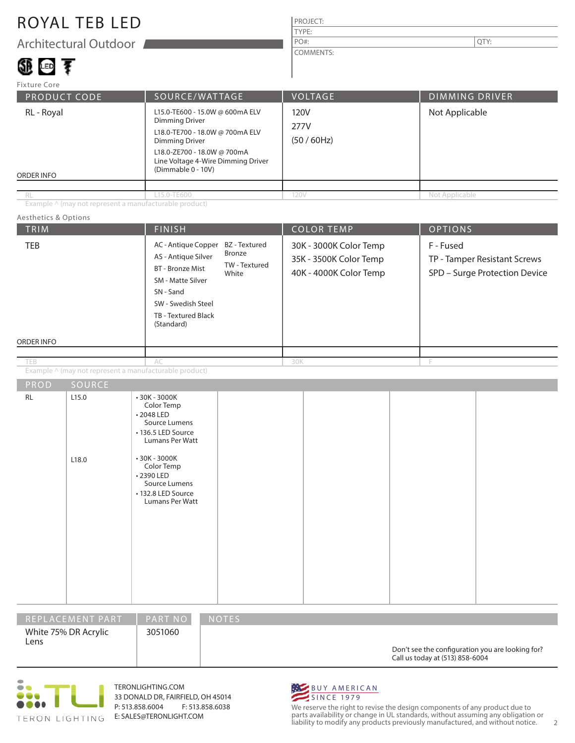## ROYAL TEB LED

Architectural Outdoor

# 領画す

#### PROJECT: TYPE: COMMENTS: PO#:  $\vert$  QTY:

| Fixture Core             |                                                                                                                                                                                                          |                           |                       |
|--------------------------|----------------------------------------------------------------------------------------------------------------------------------------------------------------------------------------------------------|---------------------------|-----------------------|
| <b>PRODUCT CODE</b>      | SOURCE/WATTAGE                                                                                                                                                                                           | VOLTAGE                   | <b>DIMMING DRIVER</b> |
| RL - Royal<br>ORDER INFO | L15.0-TE600 - 15.0W @ 600mA ELV<br>Dimming Driver<br>L18.0-TE700 - 18.0W @ 700mA ELV<br><b>Dimming Driver</b><br>L18.0-ZE700 - 18.0W @ 700mA<br>Line Voltage 4-Wire Dimming Driver<br>(Dimmable 0 - 10V) | 120V<br>277V<br>(50/60Hz) | Not Applicable        |
|                          |                                                                                                                                                                                                          |                           |                       |
| RL                       | L15.0-TE600                                                                                                                                                                                              | 120V                      | Not Applicable        |

Example ^ (may not represent a manufacturable product)

#### TRIM  $\begin{array}{|c|c|c|c|c|c|}\hline \text{FINISH} & \text{COLOR TEMP} & \text{OPTIONS} \ \hline \end{array}$ ORDER INFO Aesthetics & Options PROD SOURCE Example ^ (may not represent a manufacturable product) 30K - 3000K Color Temp 35K - 3500K Color Temp 40K - 4000K Color Temp F - Fused TP - Tamper Resistant Screws SPD – Surge Protection Device AC - Antique Copper BZ - Textured AS - Antique Silver BT - Bronze Mist SM - Matte Silver SN - Sand SW - Swedish Steel TB - Textured Black (Standard) AC 30K F RL 2.15.0 L18.0 • 30K - 3000K Color Temp • 2048 LED Source Lumens • 136.5 LED Source Lumans Per Watt • 30K - 3000K Color Temp • 2390 LED Source Lumens • 132.8 LED Source Lumans Per Watt Bronze TW - Textured White TEB

| REPLACEMENT PART             | <b>PART NO</b> | <b>NOTES</b>                                                                        |
|------------------------------|----------------|-------------------------------------------------------------------------------------|
| White 75% DR Acrylic<br>Lens | 3051060        | Don't see the configuration you are looking for?<br>Call us today at (513) 858-6004 |



TERONLIGHTING.COM 33 DONALD DR, FAIRFIELD, OH 45014 P: 513.858.6004 F: 513.858.6038 E: SALES@TERONLIGHT.COM



We reserve the right to revise the design components of any product due to parts availability or change in UL standards, without assuming any obligation or liability to modify any products previously manufactured, and without notice. 2